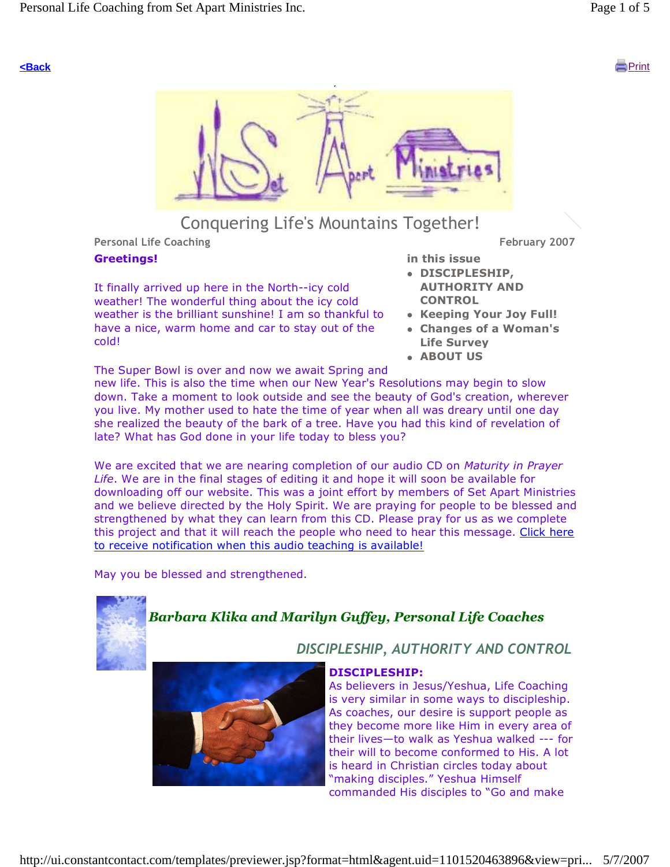

# Conquering Life's Mountains Together!

Personal Life Coaching February 2007

### Greetings!

It finally arrived up here in the North--icy cold weather! The wonderful thing about the icy cold weather is the brilliant sunshine! I am so thankful to have a nice, warm home and car to stay out of the cold!

- in this issue DISCIPLESHIP, AUTHORITY AND **CONTROL**
- Keeping Your Joy Full!
- Changes of a Woman's Life Survey
- **ABOUT US**

The Super Bowl is over and now we await Spring and

new life. This is also the time when our New Year's Resolutions may begin to slow down. Take a moment to look outside and see the beauty of God's creation, wherever you live. My mother used to hate the time of year when all was dreary until one day she realized the beauty of the bark of a tree. Have you had this kind of revelation of late? What has God done in your life today to bless you?

We are excited that we are nearing completion of our audio CD on Maturity in Prayer Life. We are in the final stages of editing it and hope it will soon be available for downloading off our website. This was a joint effort by members of Set Apart Ministries and we believe directed by the Holy Spirit. We are praying for people to be blessed and strengthened by what they can learn from this CD. Please pray for us as we complete this project and that it will reach the people who need to hear this message. Click here to receive notification when this audio teaching is available!

May you be blessed and strengthened.

# Barbara Klika and Marilyn Guffey, Personal Life Coaches



DISCIPLESHIP:

As believers in Jesus/Yeshua, Life Coaching is very similar in some ways to discipleship. As coaches, our desire is support people as they become more like Him in every area of their lives—to walk as Yeshua walked --- for their will to become conformed to His. A lot is heard in Christian circles today about "making disciples." Yeshua Himself commanded His disciples to "Go and make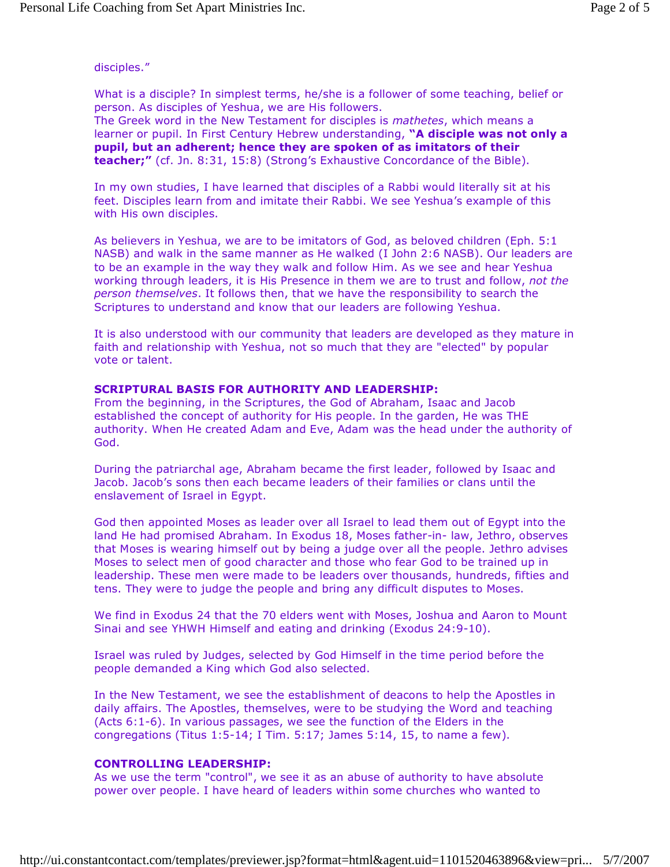disciples."

What is a disciple? In simplest terms, he/she is a follower of some teaching, belief or person. As disciples of Yeshua, we are His followers. The Greek word in the New Testament for disciples is mathetes, which means a learner or pupil. In First Century Hebrew understanding, "A disciple was not only a pupil, but an adherent; hence they are spoken of as imitators of their teacher;" (cf. Jn. 8:31, 15:8) (Strong's Exhaustive Concordance of the Bible).

In my own studies, I have learned that disciples of a Rabbi would literally sit at his feet. Disciples learn from and imitate their Rabbi. We see Yeshua's example of this with His own disciples.

As believers in Yeshua, we are to be imitators of God, as beloved children (Eph. 5:1 NASB) and walk in the same manner as He walked (I John 2:6 NASB). Our leaders are to be an example in the way they walk and follow Him. As we see and hear Yeshua working through leaders, it is His Presence in them we are to trust and follow, not the person themselves. It follows then, that we have the responsibility to search the Scriptures to understand and know that our leaders are following Yeshua.

It is also understood with our community that leaders are developed as they mature in faith and relationship with Yeshua, not so much that they are "elected" by popular vote or talent.

#### SCRIPTURAL BASIS FOR AUTHORITY AND LEADERSHIP:

From the beginning, in the Scriptures, the God of Abraham, Isaac and Jacob established the concept of authority for His people. In the garden, He was THE authority. When He created Adam and Eve, Adam was the head under the authority of God.

During the patriarchal age, Abraham became the first leader, followed by Isaac and Jacob. Jacob's sons then each became leaders of their families or clans until the enslavement of Israel in Egypt.

God then appointed Moses as leader over all Israel to lead them out of Egypt into the land He had promised Abraham. In Exodus 18, Moses father-in- law, Jethro, observes that Moses is wearing himself out by being a judge over all the people. Jethro advises Moses to select men of good character and those who fear God to be trained up in leadership. These men were made to be leaders over thousands, hundreds, fifties and tens. They were to judge the people and bring any difficult disputes to Moses.

We find in Exodus 24 that the 70 elders went with Moses, Joshua and Aaron to Mount Sinai and see YHWH Himself and eating and drinking (Exodus 24:9-10).

Israel was ruled by Judges, selected by God Himself in the time period before the people demanded a King which God also selected.

In the New Testament, we see the establishment of deacons to help the Apostles in daily affairs. The Apostles, themselves, were to be studying the Word and teaching (Acts 6:1-6). In various passages, we see the function of the Elders in the congregations (Titus 1:5-14; I Tim. 5:17; James 5:14, 15, to name a few).

#### CONTROLLING LEADERSHIP:

As we use the term "control", we see it as an abuse of authority to have absolute power over people. I have heard of leaders within some churches who wanted to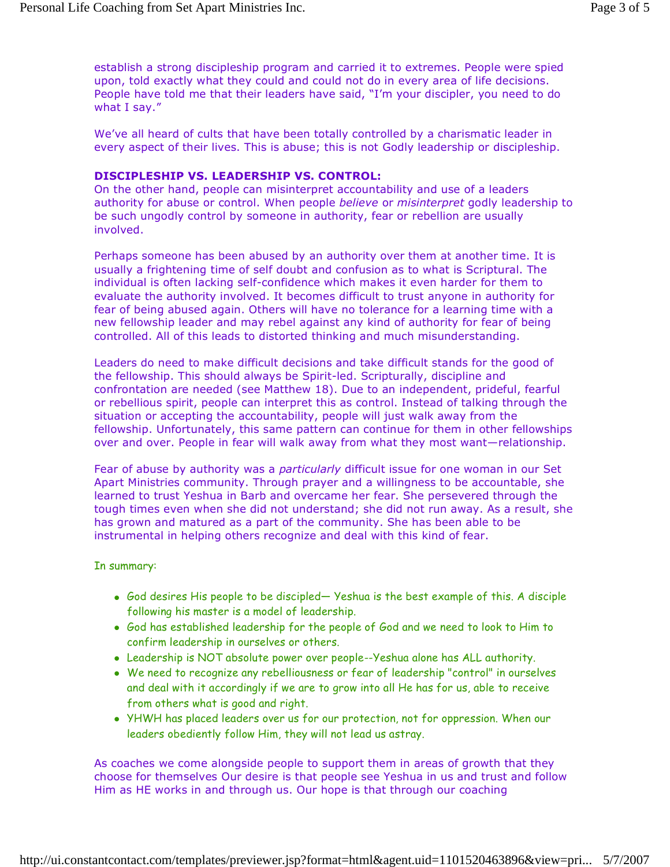establish a strong discipleship program and carried it to extremes. People were spied upon, told exactly what they could and could not do in every area of life decisions. People have told me that their leaders have said, "I'm your discipler, you need to do what I say."

We've all heard of cults that have been totally controlled by a charismatic leader in every aspect of their lives. This is abuse; this is not Godly leadership or discipleship.

#### DISCIPLESHIP VS. LEADERSHIP VS. CONTROL:

On the other hand, people can misinterpret accountability and use of a leaders authority for abuse or control. When people believe or misinterpret godly leadership to be such ungodly control by someone in authority, fear or rebellion are usually involved.

Perhaps someone has been abused by an authority over them at another time. It is usually a frightening time of self doubt and confusion as to what is Scriptural. The individual is often lacking self-confidence which makes it even harder for them to evaluate the authority involved. It becomes difficult to trust anyone in authority for fear of being abused again. Others will have no tolerance for a learning time with a new fellowship leader and may rebel against any kind of authority for fear of being controlled. All of this leads to distorted thinking and much misunderstanding.

Leaders do need to make difficult decisions and take difficult stands for the good of the fellowship. This should always be Spirit-led. Scripturally, discipline and confrontation are needed (see Matthew 18). Due to an independent, prideful, fearful or rebellious spirit, people can interpret this as control. Instead of talking through the situation or accepting the accountability, people will just walk away from the fellowship. Unfortunately, this same pattern can continue for them in other fellowships over and over. People in fear will walk away from what they most want—relationship.

Fear of abuse by authority was a particularly difficult issue for one woman in our Set Apart Ministries community. Through prayer and a willingness to be accountable, she learned to trust Yeshua in Barb and overcame her fear. She persevered through the tough times even when she did not understand; she did not run away. As a result, she has grown and matured as a part of the community. She has been able to be instrumental in helping others recognize and deal with this kind of fear.

#### In summary:

- God desires His people to be discipled— Yeshua is the best example of this. A disciple following his master is a model of leadership.
- God has established leadership for the people of God and we need to look to Him to confirm leadership in ourselves or others.
- Leadership is NOT absolute power over people--Yeshua alone has ALL authority.
- We need to recognize any rebelliousness or fear of leadership "control" in ourselves and deal with it accordingly if we are to grow into all He has for us, able to receive from others what is good and right.
- YHWH has placed leaders over us for our protection, not for oppression. When our leaders obediently follow Him, they will not lead us astray.

As coaches we come alongside people to support them in areas of growth that they choose for themselves Our desire is that people see Yeshua in us and trust and follow Him as HE works in and through us. Our hope is that through our coaching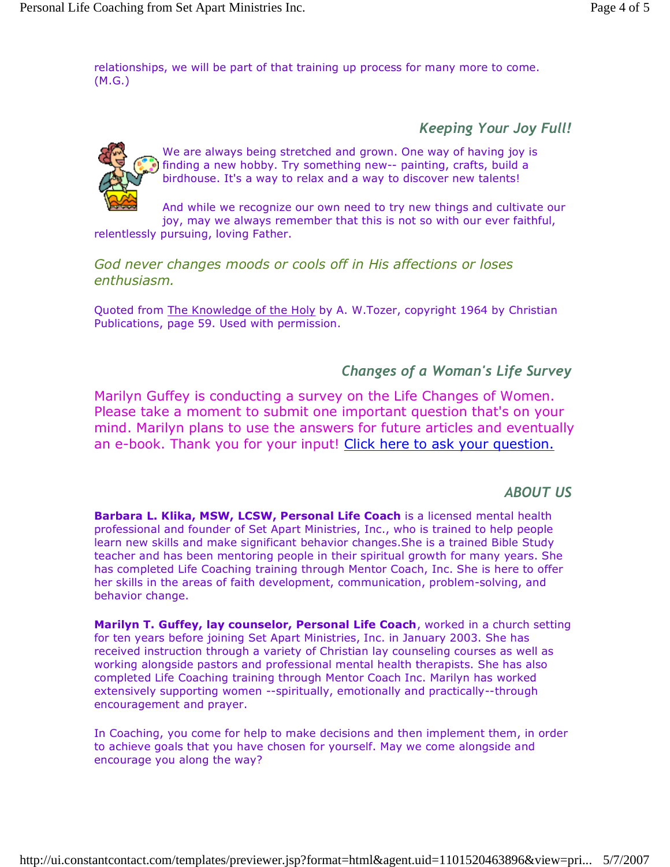relationships, we will be part of that training up process for many more to come. (M.G.)

Keeping Your Joy Full!



We are always being stretched and grown. One way of having joy is finding a new hobby. Try something new-- painting, crafts, build a birdhouse. It's a way to relax and a way to discover new talents!

And while we recognize our own need to try new things and cultivate our joy, may we always remember that this is not so with our ever faithful,

relentlessly pursuing, loving Father.

God never changes moods or cools off in His affections or loses enthusiasm.

Quoted from The Knowledge of the Holy by A. W.Tozer, copyright 1964 by Christian Publications, page 59. Used with permission.

## Changes of a Woman's Life Survey

Marilyn Guffey is conducting a survey on the Life Changes of Women. Please take a moment to submit one important question that's on your mind. Marilyn plans to use the answers for future articles and eventually an e-book. Thank you for your input! Click here to ask your question.

## ABOUT US

Barbara L. Klika, MSW, LCSW, Personal Life Coach is a licensed mental health professional and founder of Set Apart Ministries, Inc., who is trained to help people learn new skills and make significant behavior changes.She is a trained Bible Study teacher and has been mentoring people in their spiritual growth for many years. She has completed Life Coaching training through Mentor Coach, Inc. She is here to offer her skills in the areas of faith development, communication, problem-solving, and behavior change.

Marilyn T. Guffey, lay counselor, Personal Life Coach, worked in a church setting for ten years before joining Set Apart Ministries, Inc. in January 2003. She has received instruction through a variety of Christian lay counseling courses as well as working alongside pastors and professional mental health therapists. She has also completed Life Coaching training through Mentor Coach Inc. Marilyn has worked extensively supporting women --spiritually, emotionally and practically--through encouragement and prayer.

In Coaching, you come for help to make decisions and then implement them, in order to achieve goals that you have chosen for yourself. May we come alongside and encourage you along the way?